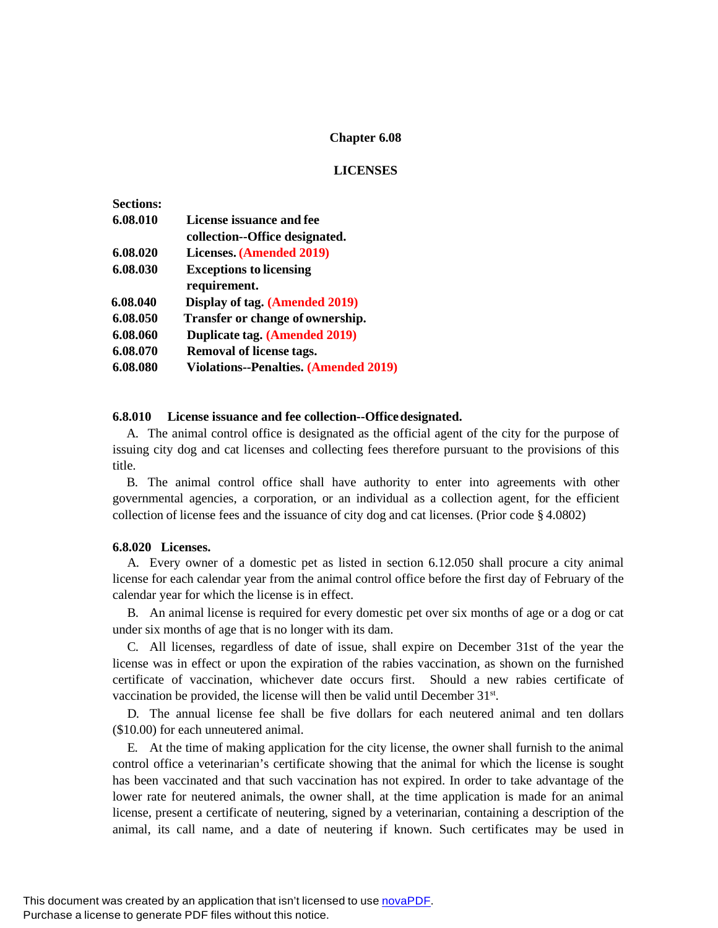# **Chapter 6.08**

# **LICENSES**

| <b>Sections:</b> |                                              |
|------------------|----------------------------------------------|
| 6.08.010         | License issuance and fee                     |
|                  | collection--Office designated.               |
| 6.08.020         | Licenses. (Amended 2019)                     |
| 6.08.030         | <b>Exceptions to licensing</b>               |
|                  | requirement.                                 |
| 6.08.040         | Display of tag. (Amended 2019)               |
| 6.08.050         | Transfer or change of ownership.             |
| 6.08.060         | Duplicate tag. (Amended 2019)                |
| 6.08.070         | <b>Removal of license tags.</b>              |
| 6.08.080         | <b>Violations--Penalties. (Amended 2019)</b> |

## **6.8.010 License issuance and fee collection--Officedesignated.**

A. The animal control office is designated as the official agent of the city for the purpose of issuing city dog and cat licenses and collecting fees therefore pursuant to the provisions of this title.

B. The animal control office shall have authority to enter into agreements with other governmental agencies, a corporation, or an individual as a collection agent, for the efficient collection of license fees and the issuance of city dog and cat licenses. (Prior code § 4.0802)

## **6.8.020 Licenses.**

A. Every owner of a domestic pet as listed in section 6.12.050 shall procure a city animal license for each calendar year from the animal control office before the first day of February of the calendar year for which the license is in effect.

B. An animal license is required for every domestic pet over six months of age or a dog or cat under six months of age that is no longer with its dam.

C. All licenses, regardless of date of issue, shall expire on December 31st of the year the license was in effect or upon the expiration of the rabies vaccination, as shown on the furnished certificate of vaccination, whichever date occurs first. Should a new rabies certificate of vaccination be provided, the license will then be valid until December 31<sup>st</sup>.

D. The annual license fee shall be five dollars for each neutered animal and ten dollars (\$10.00) for each unneutered animal.

E. At the time of making application for the city license, the owner shall furnish to the animal control office a veterinarian's certificate showing that the animal for which the license is sought has been vaccinated and that such vaccination has not expired. In order to take advantage of the lower rate for neutered animals, the owner shall, at the time application is made for an animal license, present a certificate of neutering, signed by a veterinarian, containing a description of the animal, its call name, and a date of neutering if known. Such certificates may be used in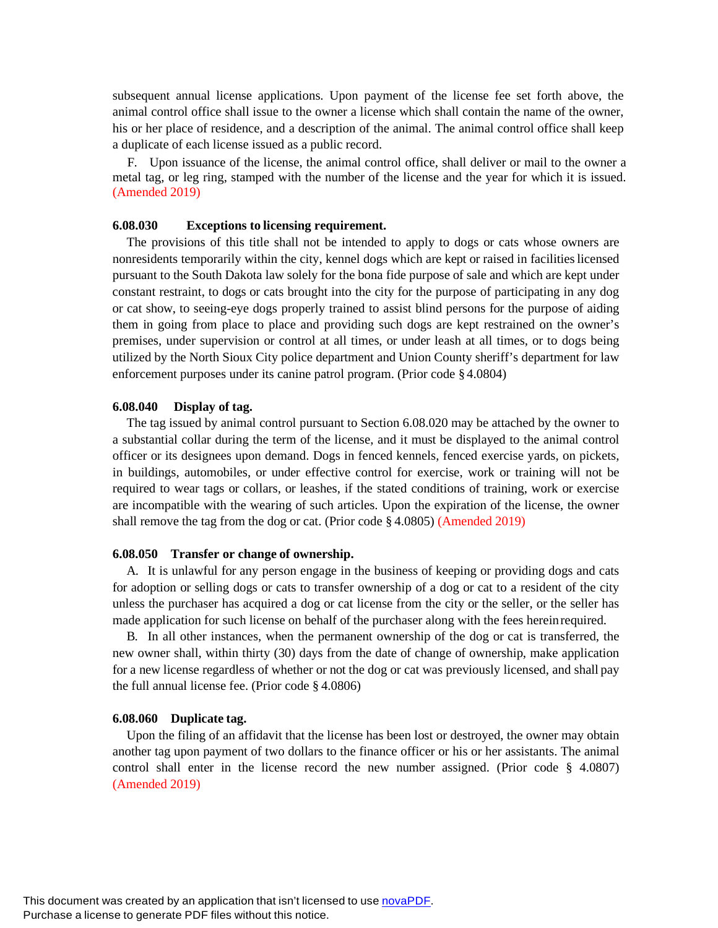subsequent annual license applications. Upon payment of the license fee set forth above, the animal control office shall issue to the owner a license which shall contain the name of the owner, his or her place of residence, and a description of the animal. The animal control office shall keep a duplicate of each license issued as a public record.

F. Upon issuance of the license, the animal control office, shall deliver or mail to the owner a metal tag, or leg ring, stamped with the number of the license and the year for which it is issued. (Amended 2019)

### **6.08.030 Exceptions to licensing requirement.**

The provisions of this title shall not be intended to apply to dogs or cats whose owners are nonresidents temporarily within the city, kennel dogs which are kept or raised in facilitieslicensed pursuant to the South Dakota law solely for the bona fide purpose of sale and which are kept under constant restraint, to dogs or cats brought into the city for the purpose of participating in any dog or cat show, to seeing-eye dogs properly trained to assist blind persons for the purpose of aiding them in going from place to place and providing such dogs are kept restrained on the owner's premises, under supervision or control at all times, or under leash at all times, or to dogs being utilized by the North Sioux City police department and Union County sheriff's department for law enforcement purposes under its canine patrol program. (Prior code § 4.0804)

#### **6.08.040 Display of tag.**

The tag issued by animal control pursuant to Section 6.08.020 may be attached by the owner to a substantial collar during the term of the license, and it must be displayed to the animal control officer or its designees upon demand. Dogs in fenced kennels, fenced exercise yards, on pickets, in buildings, automobiles, or under effective control for exercise, work or training will not be required to wear tags or collars, or leashes, if the stated conditions of training, work or exercise are incompatible with the wearing of such articles. Upon the expiration of the license, the owner shall remove the tag from the dog or cat. (Prior code § 4.0805) (Amended 2019)

#### **6.08.050 Transfer or change of ownership.**

A. It is unlawful for any person engage in the business of keeping or providing dogs and cats for adoption or selling dogs or cats to transfer ownership of a dog or cat to a resident of the city unless the purchaser has acquired a dog or cat license from the city or the seller, or the seller has made application for such license on behalf of the purchaser along with the fees hereinrequired.

B. In all other instances, when the permanent ownership of the dog or cat is transferred, the new owner shall, within thirty (30) days from the date of change of ownership, make application for a new license regardless of whether or not the dog or cat was previously licensed, and shall pay the full annual license fee. (Prior code § 4.0806)

#### **6.08.060 Duplicate tag.**

Upon the filing of an affidavit that the license has been lost or destroyed, the owner may obtain another tag upon payment of two dollars to the finance officer or his or her assistants. The animal control shall enter in the license record the new number assigned. (Prior code § 4.0807) (Amended 2019)